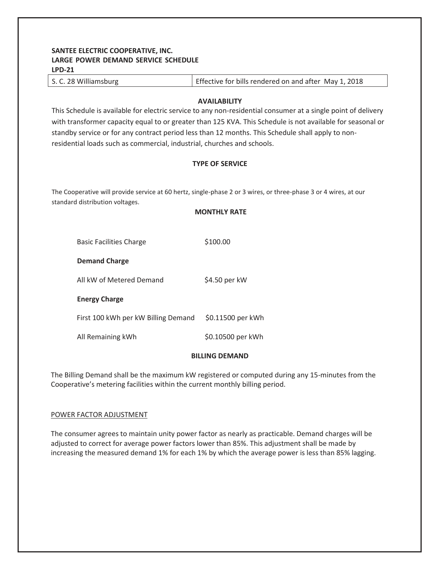# **SANTEE ELECTRIC COOPERATIVE, INC. LARGE POWER DEMAND SERVICE SCHEDULE LPD-21**

| S. C. 28 Williamsburg | Effective for bills rendered on and after May 1, 2018 |
|-----------------------|-------------------------------------------------------|
|                       |                                                       |

## **AVAILABILITY**

This Schedule is available for electric service to any non-residential consumer at a single point of delivery with transformer capacity equal to or greater than 125 KVA. This Schedule is not available for seasonal or standby service or for any contract period less than 12 months. This Schedule shall apply to nonresidential loads such as commercial, industrial, churches and schools.

## **TYPE OF SERVICE**

The Cooperative will provide service at 60 hertz, single-phase 2 or 3 wires, or three-phase 3 or 4 wires, at our standard distribution voltages.

|                                     | <b>MONTHLY RATE</b> |
|-------------------------------------|---------------------|
|                                     |                     |
| <b>Basic Facilities Charge</b>      | \$100.00            |
| <b>Demand Charge</b>                |                     |
| All kW of Metered Demand            | \$4.50 per kW       |
| <b>Energy Charge</b>                |                     |
| First 100 kWh per kW Billing Demand | \$0.11500 per kWh   |
| All Remaining kWh                   | \$0.10500 per kWh   |
| <b>BILLING DEMAND</b>               |                     |

 The Billing Demand shall be the maximum kW registered or computed during any 15-minutes from the Cooperative's metering facilities within the current monthly billing period.

#### POWER FACTOR ADJUSTMENT

 The consumer agrees to maintain unity power factor as nearly as practicable. Demand charges will be adjusted to correct for average power factors lower than 85%. This adjustment shall be made by increasing the measured demand 1% for each 1% by which the average power is less than 85% lagging.